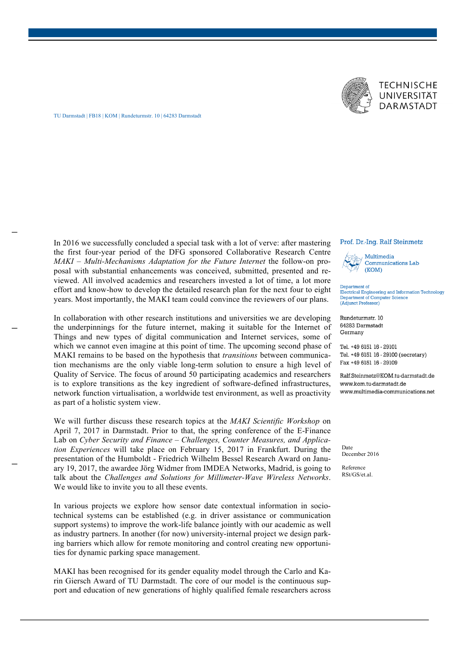



TU Darmstadt | FB18 | KOM | Rundeturmstr. 10 | 64283 Darmstadt

In 2016 we successfully concluded a special task with a lot of verve: after mastering the first four-year period of the DFG sponsored Collaborative Research Centre *MAKI – Multi-Mechanisms Adaptation for the Future Internet* the follow-on proposal with substantial enhancements was conceived, submitted, presented and reviewed. All involved academics and researchers invested a lot of time, a lot more effort and know-how to develop the detailed research plan for the next four to eight years. Most importantly, the MAKI team could convince the reviewers of our plans.

In collaboration with other research institutions and universities we are developing the underpinnings for the future internet, making it suitable for the Internet of Things and new types of digital communication and Internet services, some of which we cannot even imagine at this point of time. The upcoming second phase of MAKI remains to be based on the hypothesis that *transitions* between communication mechanisms are the only viable long-term solution to ensure a high level of Quality of Service. The focus of around 50 participating academics and researchers is to explore transitions as the key ingredient of software-defined infrastructures, network function virtualisation, a worldwide test environment, as well as proactivity as part of a holistic system view.

We will further discuss these research topics at the *MAKI Scientific Workshop* on April 7, 2017 in Darmstadt. Prior to that, the spring conference of the E-Finance Lab on *Cyber Security and Finance – Challenges, Counter Measures, and Application Experiences* will take place on February 15, 2017 in Frankfurt. During the presentation of the Humboldt - Friedrich Wilhelm Bessel Research Award on January 19, 2017, the awardee Jörg Widmer from IMDEA Networks, Madrid, is going to talk about the *Challenges and Solutions for Millimeter-Wave Wireless Networks*. We would like to invite you to all these events.

In various projects we explore how sensor date contextual information in sociotechnical systems can be established (e.g. in driver assistance or communication support systems) to improve the work-life balance jointly with our academic as well as industry partners. In another (for now) university-internal project we design parking barriers which allow for remote monitoring and control creating new opportunities for dynamic parking space management.

MAKI has been recognised for its gender equality model through the Carlo and Karin Giersch Award of TU Darmstadt. The core of our model is the continuous support and education of new generations of highly qualified female researchers across

## Prof. Dr.-Ing. Ralf Steinmetz



 $(KOM)$ 

Department of Electrical Engineering and Information Technology Department of Computer Science (Adjunct Professor)

Rundeturmstr. 10 64283 Darmstadt Germany

Tel. +49 6151 16 - 29101 Tel. +49 6151 16 - 29100 (secretary) Fax +49 6151 16 - 29109

Ralf.Steinmetz@KOM.tu-darmstadt.de www.kom.tu-darmstadt.de www.multimedia-communications.net

Date December 2016

Reference RSt/GS/et.al.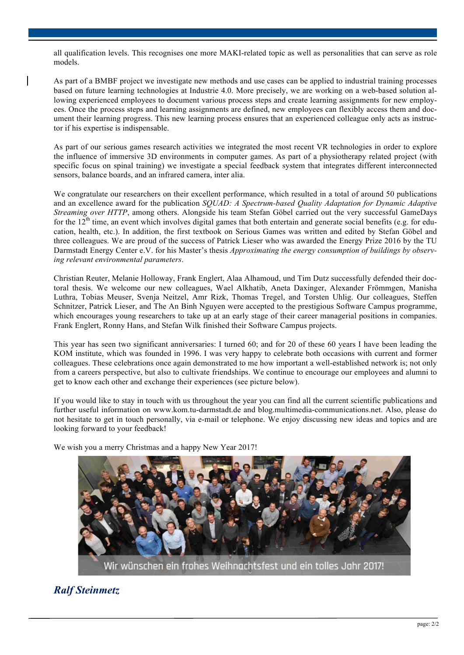all qualification levels. This recognises one more MAKI-related topic as well as personalities that can serve as role models.

As part of a BMBF project we investigate new methods and use cases can be applied to industrial training processes based on future learning technologies at Industrie 4.0. More precisely, we are working on a web-based solution allowing experienced employees to document various process steps and create learning assignments for new employees. Once the process steps and learning assignments are defined, new employees can flexibly access them and document their learning progress. This new learning process ensures that an experienced colleague only acts as instructor if his expertise is indispensable.

As part of our serious games research activities we integrated the most recent VR technologies in order to explore the influence of immersive 3D environments in computer games. As part of a physiotherapy related project (with specific focus on spinal training) we investigate a special feedback system that integrates different interconnected sensors, balance boards, and an infrared camera, inter alia.

We congratulate our researchers on their excellent performance, which resulted in a total of around 50 publications and an excellence award for the publication *SQUAD: A Spectrum-based Quality Adaptation for Dynamic Adaptive Streaming over HTTP*, among others. Alongside his team Stefan Göbel carried out the very successful GameDays for the  $12<sup>th</sup>$  time, an event which involves digital games that both entertain and generate social benefits (e.g. for education, health, etc.). In addition, the first textbook on Serious Games was written and edited by Stefan Göbel and three colleagues. We are proud of the success of Patrick Lieser who was awarded the Energy Prize 2016 by the TU Darmstadt Energy Center e.V. for his Master's thesis *Approximating the energy consumption of buildings by observing relevant environmental parameters*.

Christian Reuter, Melanie Holloway, Frank Englert, Alaa Alhamoud, und Tim Dutz successfully defended their doctoral thesis. We welcome our new colleagues, Wael Alkhatib, Aneta Daxinger, Alexander Frömmgen, Manisha Luthra, Tobias Meuser, Svenja Neitzel, Amr Rizk, Thomas Tregel, and Torsten Uhlig. Our colleagues, Steffen Schnitzer, Patrick Lieser, and The An Binh Nguyen were accepted to the prestigious Software Campus programme, which encourages young researchers to take up at an early stage of their career managerial positions in companies. Frank Englert, Ronny Hans, and Stefan Wilk finished their Software Campus projects.

This year has seen two significant anniversaries: I turned 60; and for 20 of these 60 years I have been leading the KOM institute, which was founded in 1996. I was very happy to celebrate both occasions with current and former colleagues. These celebrations once again demonstrated to me how important a well-established network is; not only from a careers perspective, but also to cultivate friendships. We continue to encourage our employees and alumni to get to know each other and exchange their experiences (see picture below).

If you would like to stay in touch with us throughout the year you can find all the current scientific publications and further useful information on www.kom.tu-darmstadt.de and blog.multimedia-communications.net. Also, please do not hesitate to get in touch personally, via e-mail or telephone. We enjoy discussing new ideas and topics and are looking forward to your feedback!

We wish you a merry Christmas and a happy New Year 2017!



## *Ralf Steinmetz*